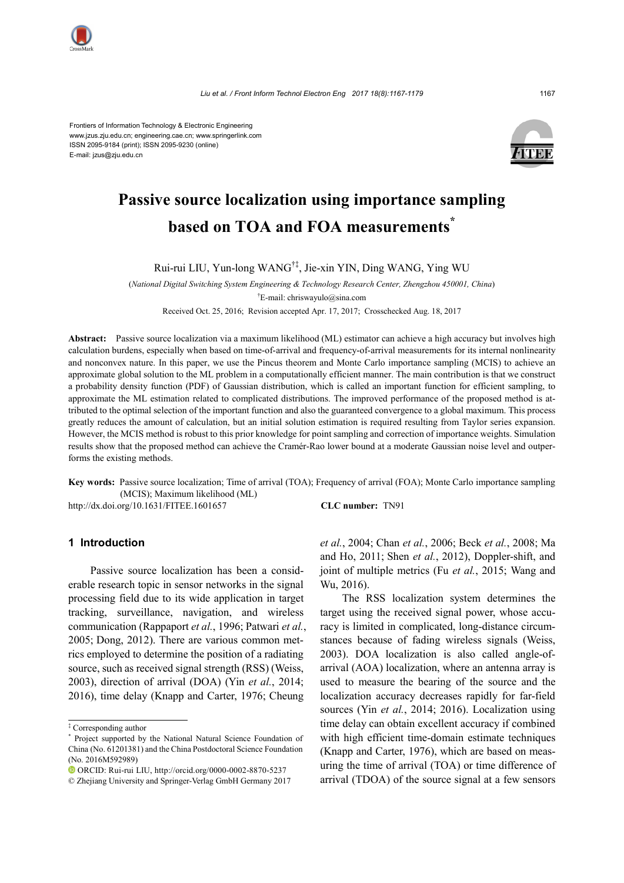

Frontiers of Information Technology & Electronic Engineering www.jzus.zju.edu.cn; engineering.cae.cn; www.springerlink.com ISSN 2095-9184 (print); ISSN 2095-9230 (online) E-mail: jzus@zju.edu.cn



# **Passive source localization using importance sampling based on TOA and FOA measurements\***

Rui-rui LIU, Yun-long WANG†‡, Jie-xin YIN, Ding WANG, Ying WU

(*National Digital Switching System Engineering & Technology Research Center, Zhengzhou 450001, China*) † E-mail: chriswayulo@sina.com

Received Oct. 25, 2016; Revision accepted Apr. 17, 2017; Crosschecked Aug. 18, 2017

**Abstract:** Passive source localization via a maximum likelihood (ML) estimator can achieve a high accuracy but involves high calculation burdens, especially when based on time-of-arrival and frequency-of-arrival measurements for its internal nonlinearity and nonconvex nature. In this paper, we use the Pincus theorem and Monte Carlo importance sampling (MCIS) to achieve an approximate global solution to the ML problem in a computationally efficient manner. The main contribution is that we construct a probability density function (PDF) of Gaussian distribution, which is called an important function for efficient sampling, to approximate the ML estimation related to complicated distributions. The improved performance of the proposed method is attributed to the optimal selection of the important function and also the guaranteed convergence to a global maximum. This process greatly reduces the amount of calculation, but an initial solution estimation is required resulting from Taylor series expansion. However, the MCIS method is robust to this prior knowledge for point sampling and correction of importance weights. Simulation results show that the proposed method can achieve the Cramér-Rao lower bound at a moderate Gaussian noise level and outperforms the existing methods.

**Key words:** Passive source localization; Time of arrival (TOA); Frequency of arrival (FOA); Monte Carlo importance sampling (MCIS); Maximum likelihood (ML)

http://dx.doi.org/10.1631/FITEE.1601657 **CLC number:** TN91

#### **1 Introduction**

Passive source localization has been a considerable research topic in sensor networks in the signal processing field due to its wide application in target tracking, surveillance, navigation, and wireless communication (Rappaport *et al.*, 1996; Patwari *et al.*, 2005; Dong, 2012). There are various common metrics employed to determine the position of a radiating source, such as received signal strength (RSS) (Weiss, 2003), direction of arrival (DOA) (Yin *et al.*, 2014; 2016), time delay (Knapp and Carter, 1976; Cheung

*et al.*, 2004; Chan *et al.*, 2006; Beck *et al.*, 2008; Ma and Ho, 2011; Shen *et al.*, 2012), Doppler-shift, and joint of multiple metrics (Fu *et al.*, 2015; Wang and Wu, 2016).

The RSS localization system determines the target using the received signal power, whose accuracy is limited in complicated, long-distance circumstances because of fading wireless signals (Weiss, 2003). DOA localization is also called angle-ofarrival (AOA) localization, where an antenna array is used to measure the bearing of the source and the localization accuracy decreases rapidly for far-field sources (Yin *et al.*, 2014; 2016). Localization using time delay can obtain excellent accuracy if combined with high efficient time-domain estimate techniques (Knapp and Carter, 1976), which are based on measuring the time of arrival (TOA) or time difference of arrival (TDOA) of the source signal at a few sensors

<sup>‡</sup> Corresponding author

<sup>\*</sup> Project supported by the National Natural Science Foundation of China (No. 61201381) and the China Postdoctoral Science Foundation (No. 2016M592989)

ORCID: Rui-rui LIU, http://orcid.org/0000-0002-8870-5237

<sup>©</sup> Zhejiang University and Springer-Verlag GmbH Germany 2017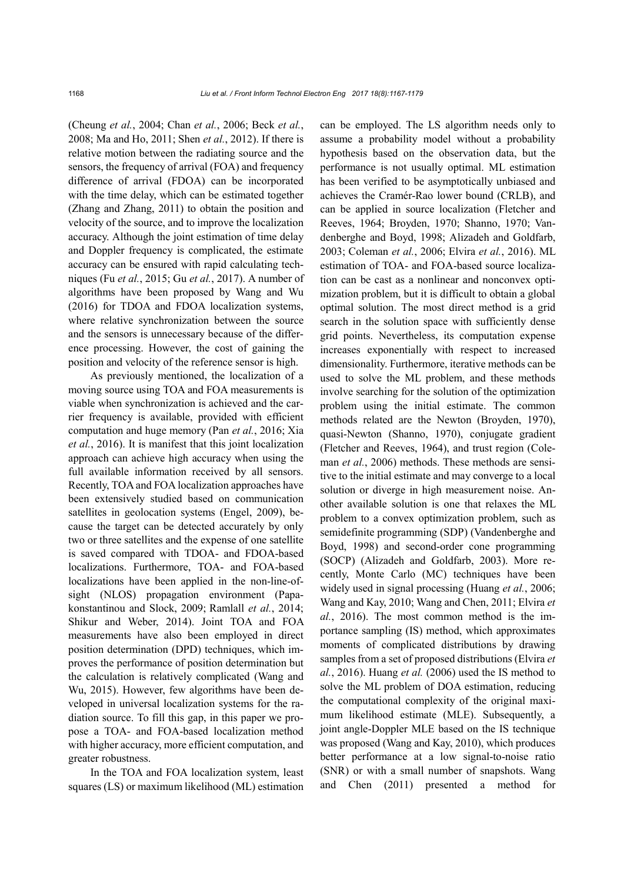(Cheung *et al.*, 2004; Chan *et al.*, 2006; Beck *et al.*, 2008; Ma and Ho, 2011; Shen *et al.*, 2012). If there is relative motion between the radiating source and the sensors, the frequency of arrival (FOA) and frequency difference of arrival (FDOA) can be incorporated with the time delay, which can be estimated together (Zhang and Zhang, 2011) to obtain the position and velocity of the source, and to improve the localization accuracy. Although the joint estimation of time delay and Doppler frequency is complicated, the estimate accuracy can be ensured with rapid calculating techniques (Fu *et al.*, 2015; Gu *et al.*, 2017). A number of algorithms have been proposed by Wang and Wu (2016) for TDOA and FDOA localization systems, where relative synchronization between the source and the sensors is unnecessary because of the difference processing. However, the cost of gaining the position and velocity of the reference sensor is high.

As previously mentioned, the localization of a moving source using TOA and FOA measurements is viable when synchronization is achieved and the carrier frequency is available, provided with efficient computation and huge memory (Pan *et al.*, 2016; Xia *et al.*, 2016). It is manifest that this joint localization approach can achieve high accuracy when using the full available information received by all sensors. Recently, TOA and FOA localization approaches have been extensively studied based on communication satellites in geolocation systems (Engel, 2009), because the target can be detected accurately by only two or three satellites and the expense of one satellite is saved compared with TDOA- and FDOA-based localizations. Furthermore, TOA- and FOA-based localizations have been applied in the non-line-ofsight (NLOS) propagation environment (Papakonstantinou and Slock, 2009; Ramlall *et al.*, 2014; Shikur and Weber, 2014). Joint TOA and FOA measurements have also been employed in direct position determination (DPD) techniques, which improves the performance of position determination but the calculation is relatively complicated (Wang and Wu, 2015). However, few algorithms have been developed in universal localization systems for the radiation source. To fill this gap, in this paper we propose a TOA- and FOA-based localization method with higher accuracy, more efficient computation, and greater robustness.

In the TOA and FOA localization system, least squares (LS) or maximum likelihood (ML) estimation can be employed. The LS algorithm needs only to assume a probability model without a probability hypothesis based on the observation data, but the performance is not usually optimal. ML estimation has been verified to be asymptotically unbiased and achieves the Cramér-Rao lower bound (CRLB), and can be applied in source localization (Fletcher and Reeves, 1964; Broyden, 1970; Shanno, 1970; Vandenberghe and Boyd, 1998; Alizadeh and Goldfarb, 2003; Coleman *et al.*, 2006; Elvira *et al.*, 2016). ML estimation of TOA- and FOA-based source localization can be cast as a nonlinear and nonconvex optimization problem, but it is difficult to obtain a global optimal solution. The most direct method is a grid search in the solution space with sufficiently dense grid points. Nevertheless, its computation expense increases exponentially with respect to increased dimensionality. Furthermore, iterative methods can be used to solve the ML problem, and these methods involve searching for the solution of the optimization problem using the initial estimate. The common methods related are the Newton (Broyden, 1970), quasi-Newton (Shanno, 1970), conjugate gradient (Fletcher and Reeves, 1964), and trust region (Coleman *et al.*, 2006) methods. These methods are sensitive to the initial estimate and may converge to a local solution or diverge in high measurement noise. Another available solution is one that relaxes the ML problem to a convex optimization problem, such as semidefinite programming (SDP) (Vandenberghe and Boyd, 1998) and second-order cone programming (SOCP) (Alizadeh and Goldfarb, 2003). More recently, Monte Carlo (MC) techniques have been widely used in signal processing (Huang *et al.*, 2006; Wang and Kay, 2010; Wang and Chen, 2011; Elvira *et al.*, 2016). The most common method is the importance sampling (IS) method, which approximates moments of complicated distributions by drawing samples from a set of proposed distributions (Elvira *et al.*, 2016). Huang *et al.* (2006) used the IS method to solve the ML problem of DOA estimation, reducing the computational complexity of the original maximum likelihood estimate (MLE). Subsequently, a joint angle-Doppler MLE based on the IS technique was proposed (Wang and Kay, 2010), which produces better performance at a low signal-to-noise ratio (SNR) or with a small number of snapshots. Wang and Chen (2011) presented a method for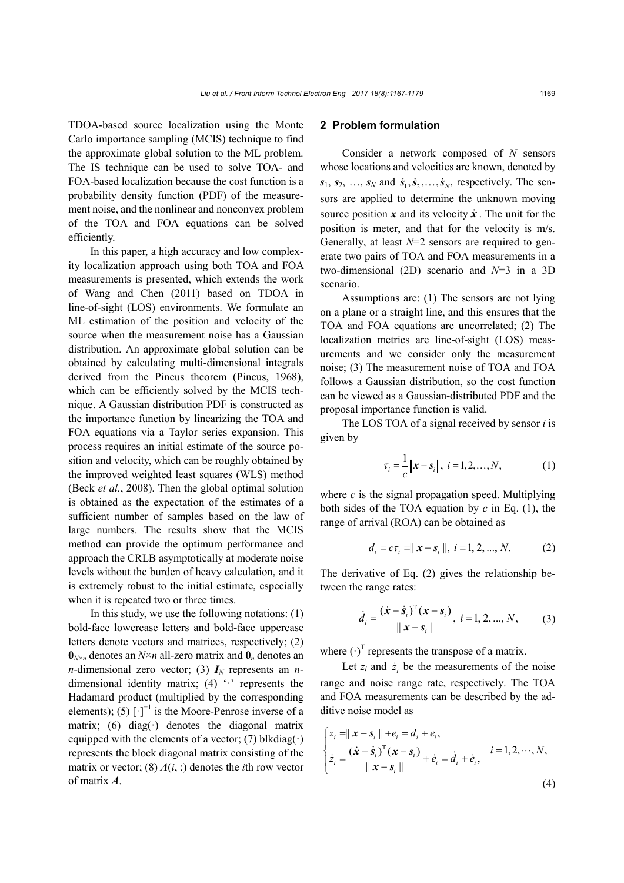TDOA-based source localization using the Monte Carlo importance sampling (MCIS) technique to find the approximate global solution to the ML problem. The IS technique can be used to solve TOA- and FOA-based localization because the cost function is a probability density function (PDF) of the measurement noise, and the nonlinear and nonconvex problem of the TOA and FOA equations can be solved efficiently.

In this paper, a high accuracy and low complexity localization approach using both TOA and FOA measurements is presented, which extends the work of Wang and Chen (2011) based on TDOA in line-of-sight (LOS) environments. We formulate an ML estimation of the position and velocity of the source when the measurement noise has a Gaussian distribution. An approximate global solution can be obtained by calculating multi-dimensional integrals derived from the Pincus theorem (Pincus, 1968), which can be efficiently solved by the MCIS technique. A Gaussian distribution PDF is constructed as the importance function by linearizing the TOA and FOA equations via a Taylor series expansion. This process requires an initial estimate of the source position and velocity, which can be roughly obtained by the improved weighted least squares (WLS) method (Beck *et al.*, 2008). Then the global optimal solution is obtained as the expectation of the estimates of a sufficient number of samples based on the law of large numbers. The results show that the MCIS method can provide the optimum performance and approach the CRLB asymptotically at moderate noise levels without the burden of heavy calculation, and it is extremely robust to the initial estimate, especially when it is repeated two or three times.

In this study, we use the following notations:  $(1)$ bold-face lowercase letters and bold-face uppercase letters denote vectors and matrices, respectively; (2)  $\mathbf{0}_{N\times n}$  denotes an  $N\times n$  all-zero matrix and  $\mathbf{0}_n$  denotes an *n*-dimensional zero vector; (3)  $I_N$  represents an *n*dimensional identity matrix; (4)  $\cdot$  represents the Hadamard product (multiplied by the corresponding elements); (5)  $[\cdot]^{-1}$  is the Moore-Penrose inverse of a matrix; (6) diag( $\cdot$ ) denotes the diagonal matrix equipped with the elements of a vector; (7) blkdiag( $\cdot$ ) represents the block diagonal matrix consisting of the matrix or vector; (8)  $A(i, :)$  denotes the *i*th row vector of matrix *A*.

#### **2 Problem formulation**

Consider a network composed of *N* sensors whose locations and velocities are known, denoted by  $s_1, s_2, \ldots, s_N$  and  $\dot{s}_1, \dot{s}_2, \ldots, \dot{s}_N$ , respectively. The sensors are applied to determine the unknown moving source position  $x$  and its velocity  $\dot{x}$ . The unit for the position is meter, and that for the velocity is m/s. Generally, at least *N*=2 sensors are required to generate two pairs of TOA and FOA measurements in a two-dimensional (2D) scenario and *N*=3 in a 3D scenario.

Assumptions are: (1) The sensors are not lying on a plane or a straight line, and this ensures that the TOA and FOA equations are uncorrelated; (2) The localization metrics are line-of-sight (LOS) measurements and we consider only the measurement noise; (3) The measurement noise of TOA and FOA follows a Gaussian distribution, so the cost function can be viewed as a Gaussian-distributed PDF and the proposal importance function is valid.

The LOS TOA of a signal received by sensor *i* is given by

$$
\tau_i = \frac{1}{c} ||\mathbf{x} - \mathbf{s}_i||, \ i = 1, 2, ..., N,
$$
 (1)

where *c* is the signal propagation speed. Multiplying both sides of the TOA equation by *c* in Eq. (1), the range of arrival (ROA) can be obtained as

$$
d_i = c\tau_i = ||\mathbf{x} - \mathbf{s}_i||, \ i = 1, 2, ..., N. \tag{2}
$$

The derivative of Eq. (2) gives the relationship between the range rates:

$$
\dot{d}_i = \frac{(\dot{x} - \dot{s}_i)^T (x - s_i)}{\|x - s_i\|}, \ i = 1, 2, ..., N,
$$
 (3)

where  $(\cdot)^T$  represents the transpose of a matrix.

Let  $z_i$  and  $\dot{z}_i$  be the measurements of the noise range and noise range rate, respectively. The TOA and FOA measurements can be described by the additive noise model as

$$
\begin{cases} z_i = ||\mathbf{x} - \mathbf{s}_i|| + e_i = d_i + e_i, \\ \dot{z}_i = \frac{(\dot{\mathbf{x}} - \dot{\mathbf{s}}_i)^T (\mathbf{x} - \mathbf{s}_i)}{||\mathbf{x} - \mathbf{s}_i||} + \dot{e}_i = \dot{d}_i + \dot{e}_i, \end{cases} \quad i = 1, 2, \dots, N,
$$
\n(4)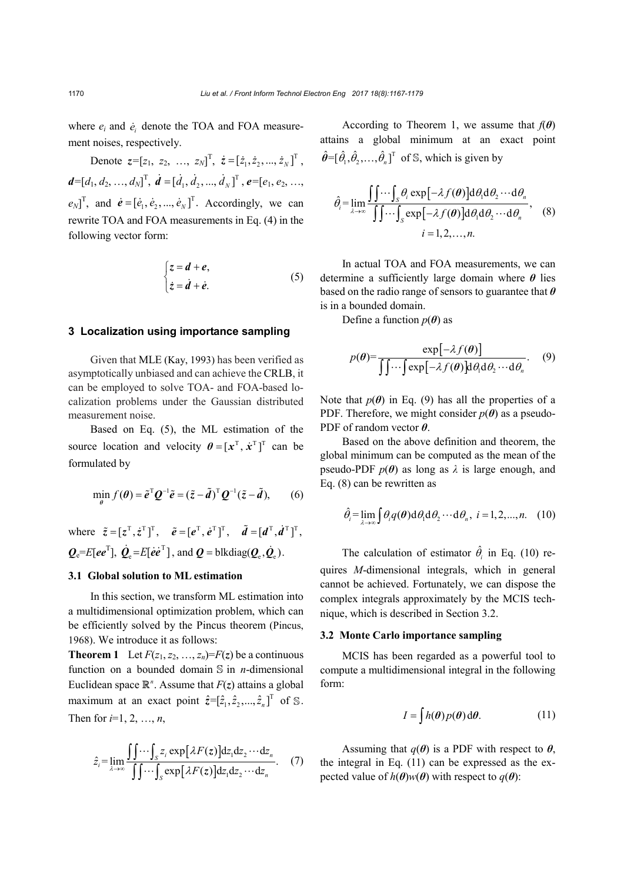where  $e_i$  and  $\dot{e}_i$  denote the TOA and FOA measurement noises, respectively.

Denote  $z = [z_1, z_2, ..., z_N]^T$ ,  $\dot{z} = [\dot{z}_1, \dot{z}_2, ..., \dot{z}_N]^T$ ,  $d=[d_1, d_2, ..., d_N]^T$ ,  $\vec{d} = [\dot{d}_1, \dot{d}_2, ..., \dot{d}_N]^T$ ,  $e=[e_1, e_2, ...,$  $(e_N)$ <sup>T</sup>, and  $\dot{e} = [\dot{e}_1, \dot{e}_2, ..., \dot{e}_N]$ <sup>T</sup>. Accordingly, we can rewrite TOA and FOA measurements in Eq. (4) in the following vector form:

$$
\begin{cases} z = d + e, \\ \dot{z} = \dot{d} + \dot{e}. \end{cases} (5)
$$

#### **3 Localization using importance sampling**

Given that MLE (Kay, 1993) has been verified as asymptotically unbiased and can achieve the CRLB, it can be employed to solve TOA- and FOA-based localization problems under the Gaussian distributed measurement noise.

Based on Eq. (5), the ML estimation of the source location and velocity  $\boldsymbol{\theta} = [\boldsymbol{x}^T, \dot{\boldsymbol{x}}^T]^T$  can be formulated by

$$
\min_{\theta} f(\theta) = \tilde{e}^{\mathrm{T}} \mathcal{Q}^{-1} \tilde{e} = (\tilde{z} - \tilde{d})^{\mathrm{T}} \mathcal{Q}^{-1} (\tilde{z} - \tilde{d}), \qquad (6)
$$

where  $\tilde{z} = [z^{\mathrm{T}}, \dot{z}^{\mathrm{T}}]^{\mathrm{T}}$ ,  $\tilde{e} = [e^{\mathrm{T}}, e^{\mathrm{T}}]^{\mathrm{T}}$ ,  $\tilde{d} = [d^{\mathrm{T}}, \dot{d}^{\mathrm{T}}]^{\mathrm{T}}$ ,  $\bm{Q}_{\text{e}}$ =*E*[ $e\bm{e}^{\text{T}}$ ],  $\dot{\bm{Q}}_{\text{e}}$ =*E*[ $\dot{e}\dot{e}^{\text{T}}$ ], and  $\bm{Q}$  = blkdiag( $\bm{Q}_{\text{e}}$ , $\dot{\bm{Q}}_{\text{e}}$ ).

#### **3.1 Global solution to ML estimation**

In this section, we transform ML estimation into a multidimensional optimization problem, which can be efficiently solved by the Pincus theorem (Pincus, 1968). We introduce it as follows:

**Theorem 1** Let  $F(z_1, z_2, ..., z_n) = F(z)$  be a continuous function on a bounded domain  $\mathbb S$  in *n*-dimensional Euclidean space  $\mathbb{R}^n$ . Assume that  $F(z)$  attains a global maximum at an exact point  $\hat{z} = [\hat{z}_1, \hat{z}_2, ..., \hat{z}_n]^T$  of *S*. Then for  $i=1, 2, ..., n$ ,

$$
\hat{z}_i = \lim_{\lambda \to \infty} \frac{\int \int \cdots \int_S z_i \exp[\lambda F(z)] \mathrm{d}z_1 \mathrm{d}z_2 \cdots \mathrm{d}z_n}{\int \int \cdots \int_S \exp[\lambda F(z)] \mathrm{d}z_1 \mathrm{d}z_2 \cdots \mathrm{d}z_n}.
$$
 (7)

According to Theorem 1, we assume that  $f(\theta)$ attains a global minimum at an exact point  $\hat{\theta}$ =[ $\hat{\theta}_1, \hat{\theta}_2, ..., \hat{\theta}_n$ ]<sup>T</sup> of S, which is given by

$$
\hat{\theta}_{i} = \lim_{\lambda \to \infty} \frac{\iint \cdots \int_{S} \theta_{i} \exp[-\lambda f(\theta)] d\theta_{1} d\theta_{2} \cdots d\theta_{n}}{\iint \cdots \int_{S} \exp[-\lambda f(\theta)] d\theta_{1} d\theta_{2} \cdots d\theta_{n}},
$$
\n
$$
i = 1, 2, ..., n.
$$
\n(8)

In actual TOA and FOA measurements, we can determine a sufficiently large domain where *θ* lies based on the radio range of sensors to guarantee that *θ* is in a bounded domain.

Define a function  $p(\theta)$  as

$$
p(\theta) = \frac{\exp[-\lambda f(\theta)]}{\iint \cdots \int \exp[-\lambda f(\theta)] d\theta_1 d\theta_2 \cdots d\theta_n}.
$$
 (9)

Note that  $p(\theta)$  in Eq. (9) has all the properties of a PDF. Therefore, we might consider  $p(\theta)$  as a pseudo-PDF of random vector *θ*.

Based on the above definition and theorem, the global minimum can be computed as the mean of the pseudo-PDF  $p(\theta)$  as long as  $\lambda$  is large enough, and Eq. (8) can be rewritten as

$$
\hat{\theta}_i = \lim_{\lambda \to \infty} \int \theta_i q(\boldsymbol{\theta}) d\theta_1 d\theta_2 \cdots d\theta_n, \quad i = 1, 2, \dots, n. \tag{10}
$$

The calculation of estimator  $\hat{\theta}_i$  in Eq. (10) requires *M*-dimensional integrals, which in general cannot be achieved. Fortunately, we can dispose the complex integrals approximately by the MCIS technique, which is described in Section 3.2.

# **3.2 Monte Carlo importance sampling**

MCIS has been regarded as a powerful tool to compute a multidimensional integral in the following form:

$$
I = \int h(\theta) p(\theta) d\theta.
$$
 (11)

Assuming that  $q(\theta)$  is a PDF with respect to  $\theta$ , the integral in Eq. (11) can be expressed as the expected value of  $h(\theta)w(\theta)$  with respect to  $q(\theta)$ :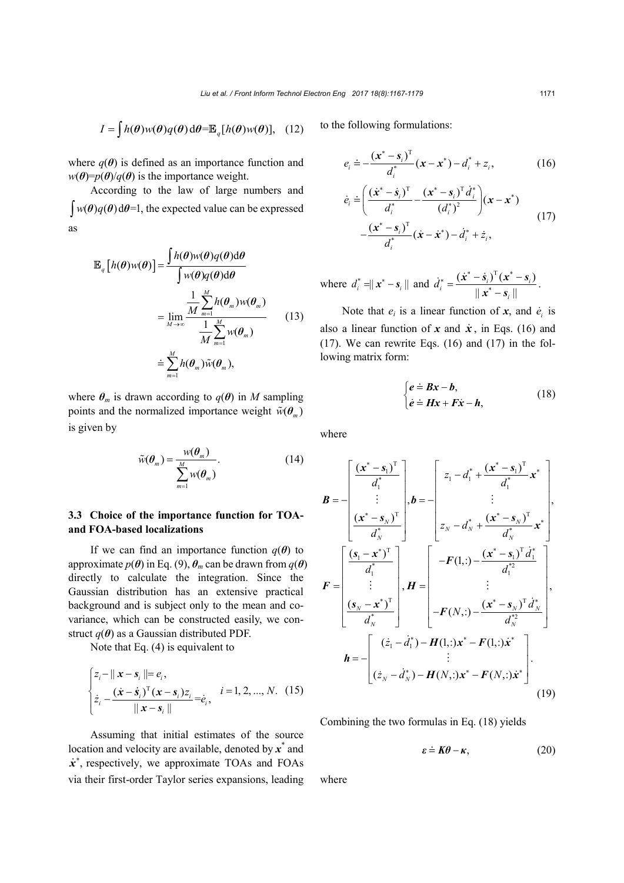$$
I = \int h(\boldsymbol{\theta}) w(\boldsymbol{\theta}) q(\boldsymbol{\theta}) d\boldsymbol{\theta} = \mathbb{E}_{q} [h(\boldsymbol{\theta}) w(\boldsymbol{\theta})], \quad (12)
$$

where  $q(\theta)$  is defined as an importance function and  $w(\theta) = p(\theta)/q(\theta)$  is the importance weight.

According to the law of large numbers and  $w(\theta)q(\theta) d\theta = 1$ , the expected value can be expressed as

$$
\mathbb{E}_{q}\left[h(\boldsymbol{\theta})w(\boldsymbol{\theta})\right] = \frac{\int h(\boldsymbol{\theta})w(\boldsymbol{\theta})q(\boldsymbol{\theta})d\boldsymbol{\theta}}{\int w(\boldsymbol{\theta})q(\boldsymbol{\theta})d\boldsymbol{\theta}} \n= \lim_{M \to \infty} \frac{\frac{1}{M} \sum_{m=1}^{M} h(\boldsymbol{\theta}_{m})w(\boldsymbol{\theta}_{m})}{\frac{1}{M} \sum_{m=1}^{M} w(\boldsymbol{\theta}_{m})} \qquad (13) \n= \sum_{m=1}^{M} h(\boldsymbol{\theta}_{m})\tilde{w}(\boldsymbol{\theta}_{m}),
$$

where  $\theta_m$  is drawn according to  $q(\theta)$  in *M* sampling points and the normalized importance weight  $\tilde{w}(\theta_m)$ is given by

$$
\tilde{w}(\theta_m) = \frac{w(\theta_m)}{\sum_{m=1}^{M} w(\theta_m)}.
$$
\n(14)

# **3.3 Choice of the importance function for TOAand FOA-based localizations**

If we can find an importance function  $q(\theta)$  to approximate  $p(\theta)$  in Eq. (9),  $\theta_m$  can be drawn from  $q(\theta)$ directly to calculate the integration. Since the Gaussian distribution has an extensive practical background and is subject only to the mean and covariance, which can be constructed easily, we construct  $q(\theta)$  as a Gaussian distributed PDF.

Note that Eq. (4) is equivalent to

$$
\begin{cases} z_i - ||\mathbf{x} - \mathbf{s}_i|| = e_i, \\ \dot{z}_i - \frac{(\dot{\mathbf{x}} - \dot{\mathbf{s}}_i)^T (\mathbf{x} - \mathbf{s}_i) z_i}{||\mathbf{x} - \mathbf{s}_i||} = \dot{e}_i, \end{cases} i = 1, 2, ..., N. \quad (15)
$$

Assuming that initial estimates of the source location and velocity are available, denoted by *x*\* and  $\dot{x}^*$ , respectively, we approximate TOAs and FOAs via their first-order Taylor series expansions, leading

to the following formulations:

$$
e_i \doteq -\frac{(x^* - s_i)^T}{d_i^*}(x - x^*) - d_i^* + z_i, \qquad (16)
$$

$$
\dot{e}_i \doteq \left( \frac{(\dot{x}^* - \dot{s}_i)^T}{d_i^*} - \frac{(\dot{x}^* - \dot{s}_i)^T \dot{d}_i^*}{(d_i^*)^2} \right) (\dot{x} - \dot{x}^*) - \frac{(\dot{x}^* - \dot{s}_i)^T}{d_i^*} (\dot{x} - \dot{x}^*) - \dot{d}_i^* + \dot{z}_i, \tag{17}
$$

where 
$$
d_i^* = ||x^* - s_i||
$$
 and  $\dot{d}_i^* = \frac{(\dot{x}^* - \dot{s}_i)^T (x^* - s_i)}{||x^* - s_i||}$ .

Note that  $e_i$  is a linear function of  $x$ , and  $\dot{e}_i$  is also a linear function of x and  $\dot{x}$ , in Eqs. (16) and  $(17)$ . We can rewrite Eqs.  $(16)$  and  $(17)$  in the following matrix form:

$$
\begin{cases} e \doteq Bx - b, \\ \dot{e} \doteq Hx + F\dot{x} - h, \end{cases} (18)
$$

where

$$
\mathbf{B} = -\begin{bmatrix} \frac{(\mathbf{x}^* - \mathbf{s}_1)^T}{d_1^*} \\ \vdots \\ \frac{(\mathbf{x}^* - \mathbf{s}_N)^T}{d_N^*} \end{bmatrix}, \mathbf{b} = -\begin{bmatrix} z_1 - d_1^* + \frac{(\mathbf{x}^* - \mathbf{s}_1)^T}{d_1^*} \mathbf{x}^* \\ \vdots \\ z_N - d_N^* + \frac{(\mathbf{x}^* - \mathbf{s}_N)^T}{d_N^*} \mathbf{x}^* \end{bmatrix},
$$
\n
$$
\mathbf{F} = \begin{bmatrix} \frac{(\mathbf{s}_1 - \mathbf{x}^*)^T}{d_1^*} \\ \vdots \\ \frac{(\mathbf{s}_N - \mathbf{x}^*)^T}{d_N^*} \end{bmatrix}, \mathbf{H} = \begin{bmatrix} -\mathbf{F}(1,:) - \frac{(\mathbf{x}^* - \mathbf{s}_1)^T d_1^*}{d_1^{*2}} \\ \vdots \\ -\mathbf{F}(N,:) - \frac{(\mathbf{x}^* - \mathbf{s}_N)^T d_N^*}{d_N^{*2}} \end{bmatrix},
$$
\n
$$
\mathbf{h} = -\begin{bmatrix} (\dot{z}_1 - \dot{d}_1^*) - \mathbf{H}(1,:) \mathbf{x}^* - \mathbf{F}(1,:) \mathbf{x}^* \\ \vdots \\ (\dot{z}_N - \dot{d}_N^*) - \mathbf{H}(N,:) \mathbf{x}^* - \mathbf{F}(N,:) \mathbf{x}^* \end{bmatrix}.
$$
\n(19)

Combining the two formulas in Eq. (18) yields

$$
\varepsilon \doteq K\theta - \kappa, \tag{20}
$$

where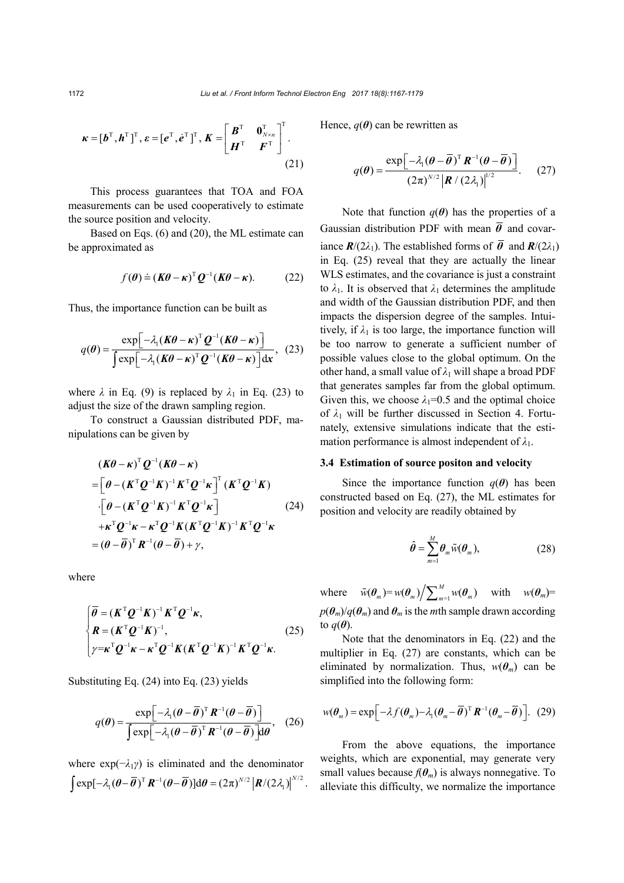$$
\boldsymbol{\kappa} = [\boldsymbol{b}^{\mathrm{T}}, \boldsymbol{h}^{\mathrm{T}}]^{\mathrm{T}}, \boldsymbol{\varepsilon} = [\boldsymbol{e}^{\mathrm{T}}, \dot{\boldsymbol{e}}^{\mathrm{T}}]^{\mathrm{T}}, \boldsymbol{K} = \begin{bmatrix} \boldsymbol{B}^{\mathrm{T}} & \boldsymbol{0}_{N \times n}^{\mathrm{T}} \\ \boldsymbol{H}^{\mathrm{T}} & \boldsymbol{F}^{\mathrm{T}} \end{bmatrix}^{\mathrm{T}}.
$$
\n(21)

This process guarantees that TOA and FOA measurements can be used cooperatively to estimate the source position and velocity.

Based on Eqs. (6) and (20), the ML estimate can be approximated as

$$
f(\boldsymbol{\theta}) \doteq (\boldsymbol{K}\boldsymbol{\theta} - \boldsymbol{\kappa})^{\mathrm{T}} \boldsymbol{Q}^{-1} (\boldsymbol{K}\boldsymbol{\theta} - \boldsymbol{\kappa}). \tag{22}
$$

Thus, the importance function can be built as

$$
q(\theta) = \frac{\exp\left[-\lambda_1(K\theta - \kappa)^T \mathbf{Q}^{-1}(K\theta - \kappa)\right]}{\int \exp\left[-\lambda_1(K\theta - \kappa)^T \mathbf{Q}^{-1}(K\theta - \kappa)\right] dx}, \quad (23)
$$

where  $\lambda$  in Eq. (9) is replaced by  $\lambda_1$  in Eq. (23) to adjust the size of the drawn sampling region.

To construct a Gaussian distributed PDF, manipulations can be given by

$$
(\mathbf{K}\boldsymbol{\theta} - \boldsymbol{\kappa})^{\mathrm{T}} \mathbf{Q}^{-1} (\mathbf{K}\boldsymbol{\theta} - \boldsymbol{\kappa})
$$
  
\n=
$$
\left[\boldsymbol{\theta} - (\mathbf{K}^{\mathrm{T}} \mathbf{Q}^{-1} \mathbf{K})^{-1} \mathbf{K}^{\mathrm{T}} \mathbf{Q}^{-1} \mathbf{\kappa}\right]^{\mathrm{T}} (\mathbf{K}^{\mathrm{T}} \mathbf{Q}^{-1} \mathbf{K})
$$
  
\n
$$
\cdot \left[\boldsymbol{\theta} - (\mathbf{K}^{\mathrm{T}} \mathbf{Q}^{-1} \mathbf{K})^{-1} \mathbf{K}^{\mathrm{T}} \mathbf{Q}^{-1} \mathbf{\kappa}\right]
$$
  
\n
$$
+ \boldsymbol{\kappa}^{\mathrm{T}} \mathbf{Q}^{-1} \boldsymbol{\kappa} - \boldsymbol{\kappa}^{\mathrm{T}} \mathbf{Q}^{-1} \mathbf{K} (\mathbf{K}^{\mathrm{T}} \mathbf{Q}^{-1} \mathbf{K})^{-1} \mathbf{K}^{\mathrm{T}} \mathbf{Q}^{-1} \boldsymbol{\kappa}
$$
  
\n
$$
= (\boldsymbol{\theta} - \overline{\boldsymbol{\theta}})^{\mathrm{T}} \mathbf{R}^{-1} (\boldsymbol{\theta} - \overline{\boldsymbol{\theta}}) + \gamma,
$$
\n(24)

where

$$
\begin{cases}\n\overline{\theta} = (\boldsymbol{K}^{\mathrm{T}} \boldsymbol{Q}^{-1} \boldsymbol{K})^{-1} \boldsymbol{K}^{\mathrm{T}} \boldsymbol{Q}^{-1} \boldsymbol{\kappa}, \\
\boldsymbol{R} = (\boldsymbol{K}^{\mathrm{T}} \boldsymbol{Q}^{-1} \boldsymbol{K})^{-1}, \\
\gamma = \boldsymbol{\kappa}^{\mathrm{T}} \boldsymbol{Q}^{-1} \boldsymbol{\kappa} - \boldsymbol{\kappa}^{\mathrm{T}} \boldsymbol{Q}^{-1} \boldsymbol{K} (\boldsymbol{K}^{\mathrm{T}} \boldsymbol{Q}^{-1} \boldsymbol{K})^{-1} \boldsymbol{K}^{\mathrm{T}} \boldsymbol{Q}^{-1} \boldsymbol{\kappa}.\n\end{cases} (25)
$$

Substituting Eq. (24) into Eq. (23) yields

$$
q(\theta) = \frac{\exp\left[-\lambda_1(\theta - \overline{\theta})^{\mathrm{T}} \boldsymbol{R}^{-1}(\theta - \overline{\theta})\right]}{\int \exp\left[-\lambda_1(\theta - \overline{\theta})^{\mathrm{T}} \boldsymbol{R}^{-1}(\theta - \overline{\theta})\right] d\theta}, \quad (26)
$$

where  $exp(-\lambda_1\gamma)$  is eliminated and the denominator  $\int \exp[-\lambda_1 (\theta - \overline{\theta})^T \mathbf{R}^{-1} (\theta - \overline{\theta})] d\theta = (2\pi)^{N/2} |\mathbf{R}/(2\lambda_1)|^{N/2}.$  Hence,  $q(\theta)$  can be rewritten as

$$
q(\boldsymbol{\theta}) = \frac{\exp\left[-\lambda_1(\boldsymbol{\theta} - \overline{\boldsymbol{\theta}})^{\mathrm{T}}\boldsymbol{R}^{-1}(\boldsymbol{\theta} - \overline{\boldsymbol{\theta}})\right]}{(2\pi)^{N/2}|\boldsymbol{R}/(2\lambda_1)|^{1/2}}.
$$
 (27)

Note that function  $q(\theta)$  has the properties of a Gaussian distribution PDF with mean  $\overline{\theta}$  and covariance  $\mathbf{R}/(2\lambda_1)$ . The established forms of  $\overline{\theta}$  and  $\mathbf{R}/(2\lambda_1)$ in Eq. (25) reveal that they are actually the linear WLS estimates, and the covariance is just a constraint to  $\lambda_1$ . It is observed that  $\lambda_1$  determines the amplitude and width of the Gaussian distribution PDF, and then impacts the dispersion degree of the samples. Intuitively, if  $\lambda_1$  is too large, the importance function will be too narrow to generate a sufficient number of possible values close to the global optimum. On the other hand, a small value of *λ*<sup>1</sup> will shape a broad PDF that generates samples far from the global optimum. Given this, we choose  $\lambda_1=0.5$  and the optimal choice of  $\lambda_1$  will be further discussed in Section 4. Fortunately, extensive simulations indicate that the estimation performance is almost independent of  $\lambda_1$ .

#### **3.4 Estimation of source positon and velocity**

Since the importance function  $q(\theta)$  has been constructed based on Eq. (27), the ML estimates for position and velocity are readily obtained by

$$
\hat{\boldsymbol{\theta}} = \sum_{m=1}^{M} \boldsymbol{\theta}_m \tilde{w}(\boldsymbol{\theta}_m),
$$
 (28)

where  $\tilde{w}(\theta_m) = w(\theta_m) / \sum_{m=1}^M w(\theta_m)$  with  $w(\theta_m) =$  $p(\theta_m)/q(\theta_m)$  and  $\theta_m$  is the *m*th sample drawn according to  $q(\boldsymbol{\theta})$ .

Note that the denominators in Eq. (22) and the multiplier in Eq. (27) are constants, which can be eliminated by normalization. Thus,  $w(\theta_m)$  can be simplified into the following form:

$$
w(\boldsymbol{\theta}_m) = \exp\bigg[ -\lambda f(\boldsymbol{\theta}_m) - \lambda_1 (\boldsymbol{\theta}_m - \overline{\boldsymbol{\theta}})^{\mathrm{T}} \boldsymbol{R}^{-1} (\boldsymbol{\theta}_m - \overline{\boldsymbol{\theta}}) \bigg]. \tag{29}
$$

From the above equations, the importance weights, which are exponential, may generate very small values because  $f(\theta_m)$  is always nonnegative. To alleviate this difficulty, we normalize the importance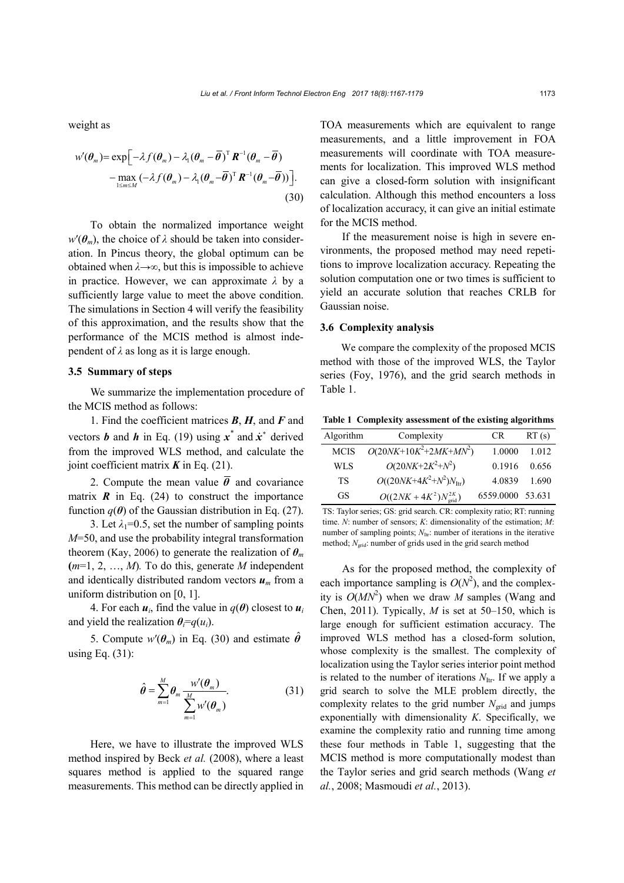weight as

$$
w'(\theta_m) = \exp\left[-\lambda f(\theta_m) - \lambda_1(\theta_m - \overline{\theta})^T \mathbf{R}^{-1}(\theta_m - \overline{\theta}) - \max_{1 \le m \le M} (-\lambda f(\theta_m) - \lambda_1(\theta_m - \overline{\theta})^T \mathbf{R}^{-1}(\theta_m - \overline{\theta}))\right].
$$
\n(30)

To obtain the normalized importance weight  $w'(\theta_m)$ , the choice of  $\lambda$  should be taken into consideration. In Pincus theory, the global optimum can be obtained when *λ*→∞, but this is impossible to achieve in practice. However, we can approximate *λ* by a sufficiently large value to meet the above condition. The simulations in Section 4 will verify the feasibility of this approximation, and the results show that the performance of the MCIS method is almost independent of *λ* as long as it is large enough.

# **3.5 Summary of steps**

We summarize the implementation procedure of the MCIS method as follows:

1. Find the coefficient matrices *B*, *H*, and *F* and vectors *b* and *h* in Eq. (19) using  $\vec{x}^*$  and  $\vec{x}^*$  derived from the improved WLS method, and calculate the joint coefficient matrix  $\boldsymbol{K}$  in Eq. (21).

2. Compute the mean value  $\bar{\theta}$  and covariance matrix  $\vec{R}$  in Eq. (24) to construct the importance function  $q(\theta)$  of the Gaussian distribution in Eq. (27).

3. Let  $\lambda_1=0.5$ , set the number of sampling points *M*=50, and use the probability integral transformation theorem (Kay, 2006) to generate the realization of  $\theta_m$ **(***m*=1, 2, …, *M*)*.* To do this, generate *M* independent and identically distributed random vectors  $u_m$  from a uniform distribution on [0, 1].

4. For each  $u_i$ , find the value in  $q(\theta)$  closest to  $u_i$ and yield the realization  $\theta_i = q(u_i)$ .

5. Compute  $w'(\theta_m)$  in Eq. (30) and estimate  $\hat{\theta}$ using Eq. (31):

$$
\hat{\theta} = \sum_{m=1}^{M} \theta_m \frac{w'(\theta_m)}{\sum_{m=1}^{M} w'(\theta_m)}.
$$
 (31)

Here, we have to illustrate the improved WLS method inspired by Beck *et al.* (2008), where a least squares method is applied to the squared range measurements. This method can be directly applied in TOA measurements which are equivalent to range measurements, and a little improvement in FOA measurements will coordinate with TOA measurements for localization. This improved WLS method can give a closed-form solution with insignificant calculation. Although this method encounters a loss of localization accuracy, it can give an initial estimate for the MCIS method.

If the measurement noise is high in severe environments, the proposed method may need repetitions to improve localization accuracy. Repeating the solution computation one or two times is sufficient to yield an accurate solution that reaches CRLB for Gaussian noise.

# **3.6 Complexity analysis**

We compare the complexity of the proposed MCIS method with those of the improved WLS, the Taylor series (Foy, 1976), and the grid search methods in Table 1.

**Table 1 Complexity assessment of the existing algorithms**

| Algorithm   | Complexity                            | CR.              | RT(s) |
|-------------|---------------------------------------|------------------|-------|
| <b>MCIS</b> | $O(20NK+10K^2+2MK+MN^2)$              | 1.0000           | 1.012 |
| WLS         | $O(20NK+2K^2+N^2)$                    | 0.1916           | 0.656 |
| <b>TS</b>   | $O((20NK+4K^2+N^2)N_{\text{Itr}})$    | 4.0839           | 1.690 |
| GS          | $O((2NK + 4K^2)N_{\text{grid}}^{2K})$ | 6559.0000 53.631 |       |

TS: Taylor series; GS: grid search. CR: complexity ratio; RT: running time. *N*: number of sensors; *K*: dimensionality of the estimation; *M*: number of sampling points;  $N_{\text{Itr}}$ : number of iterations in the iterative method;  $N_{\text{grid}}$ : number of grids used in the grid search method

As for the proposed method, the complexity of each importance sampling is  $O(N^2)$ , and the complexity is  $O(MN^2)$  when we draw *M* samples (Wang and Chen, 2011). Typically, *M* is set at 50–150, which is large enough for sufficient estimation accuracy. The improved WLS method has a closed-form solution, whose complexity is the smallest. The complexity of localization using the Taylor series interior point method is related to the number of iterations  $N_{\text{Itr}}$ . If we apply a grid search to solve the MLE problem directly, the complexity relates to the grid number  $N_{grid}$  and jumps exponentially with dimensionality *K*. Specifically, we examine the complexity ratio and running time among these four methods in Table 1, suggesting that the MCIS method is more computationally modest than the Taylor series and grid search methods (Wang *et al.*, 2008; Masmoudi *et al.*, 2013).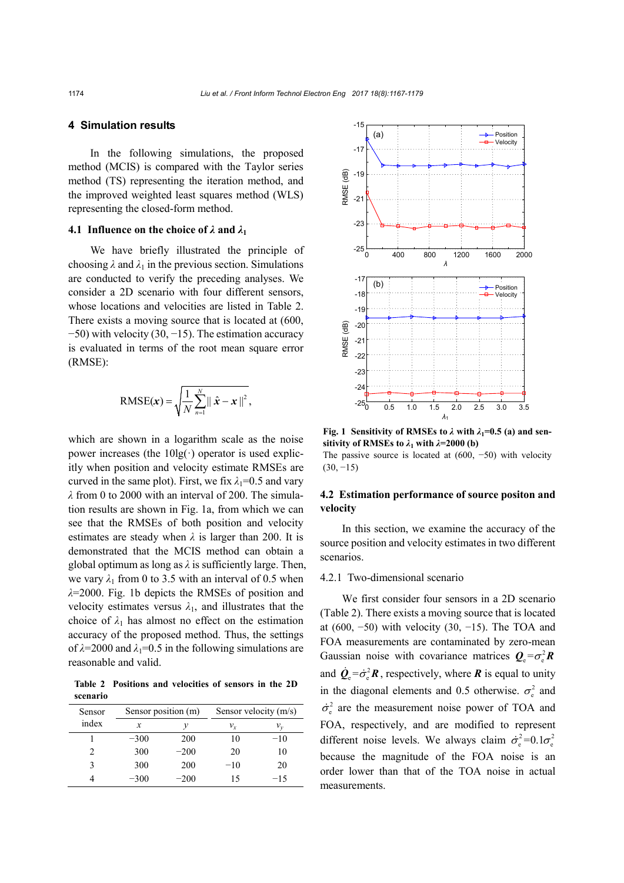#### **4 Simulation results**

In the following simulations, the proposed method (MCIS) is compared with the Taylor series method (TS) representing the iteration method, and the improved weighted least squares method (WLS) representing the closed-form method.

# **4.1 Influence on the choice of**  $\lambda$  **and**  $\lambda_1$

We have briefly illustrated the principle of choosing  $\lambda$  and  $\lambda_1$  in the previous section. Simulations are conducted to verify the preceding analyses. We consider a 2D scenario with four different sensors, whose locations and velocities are listed in Table 2. There exists a moving source that is located at (600, −50) with velocity (30, −15). The estimation accuracy is evaluated in terms of the root mean square error (RMSE):

$$
\text{RMSE}(\boldsymbol{x}) = \sqrt{\frac{1}{N} \sum_{n=1}^{N} ||\hat{\boldsymbol{x}} - \boldsymbol{x}||^2},
$$

which are shown in a logarithm scale as the noise power increases (the  $10\text{lg}(\cdot)$  operator is used explicitly when position and velocity estimate RMSEs are curved in the same plot). First, we fix  $\lambda_1=0.5$  and vary *λ* from 0 to 2000 with an interval of 200. The simulation results are shown in Fig. 1a, from which we can see that the RMSEs of both position and velocity estimates are steady when  $\lambda$  is larger than 200. It is demonstrated that the MCIS method can obtain a global optimum as long as *λ* is sufficiently large. Then, we vary  $\lambda_1$  from 0 to 3.5 with an interval of 0.5 when *λ*=2000. Fig. 1b depicts the RMSEs of position and velocity estimates versus  $\lambda_1$ , and illustrates that the choice of  $\lambda_1$  has almost no effect on the estimation accuracy of the proposed method. Thus, the settings of  $\lambda$ =2000 and  $\lambda$ <sub>1</sub>=0.5 in the following simulations are reasonable and valid.

**Table 2 Positions and velocities of sensors in the 2D scenario**

| Sensor | Sensor position (m) |        | Sensor velocity (m/s) |                             |
|--------|---------------------|--------|-----------------------|-----------------------------|
| index  | x                   |        | $v_{\rm r}$           | $\mathcal{V}_{\mathcal{V}}$ |
|        | $-300$              | 200    | 10                    | $-10$                       |
|        | 300                 | $-200$ | 20                    | 10                          |
|        | 300                 | 200    | $-10$                 | 20                          |
|        | $-300$              | $-200$ | 15                    | $-15$                       |



**Fig. 1** Sensitivity of RMSEs to  $\lambda$  with  $\lambda_1=0.5$  (a) and sen**sitivity of RMSEs to**  $\lambda_1$  **with**  $\lambda$ **=2000 (b)** 

The passive source is located at (600, −50) with velocity  $(30, -15)$ 

# **4.2 Estimation performance of source positon and velocity**

In this section, we examine the accuracy of the source position and velocity estimates in two different scenarios.

#### 4.2.1 Two-dimensional scenario

We first consider four sensors in a 2D scenario (Table 2). There exists a moving source that is located at (600,  $-50$ ) with velocity (30,  $-15$ ). The TOA and FOA measurements are contaminated by zero-mean Gaussian noise with covariance matrices  $Q = \sigma^2 R$ and  $\dot{\mathbf{Q}}_{\rm e} = \dot{\sigma}_{\rm e}^2 \mathbf{R}$ , respectively, where **R** is equal to unity in the diagonal elements and 0.5 otherwise.  $\sigma_e^2$  and  $\dot{\sigma}_s^2$  are the measurement noise power of TOA and FOA, respectively, and are modified to represent different noise levels. We always claim  $\dot{\sigma}_e^2 = 0.1 \sigma_e^2$ because the magnitude of the FOA noise is an order lower than that of the TOA noise in actual measurements.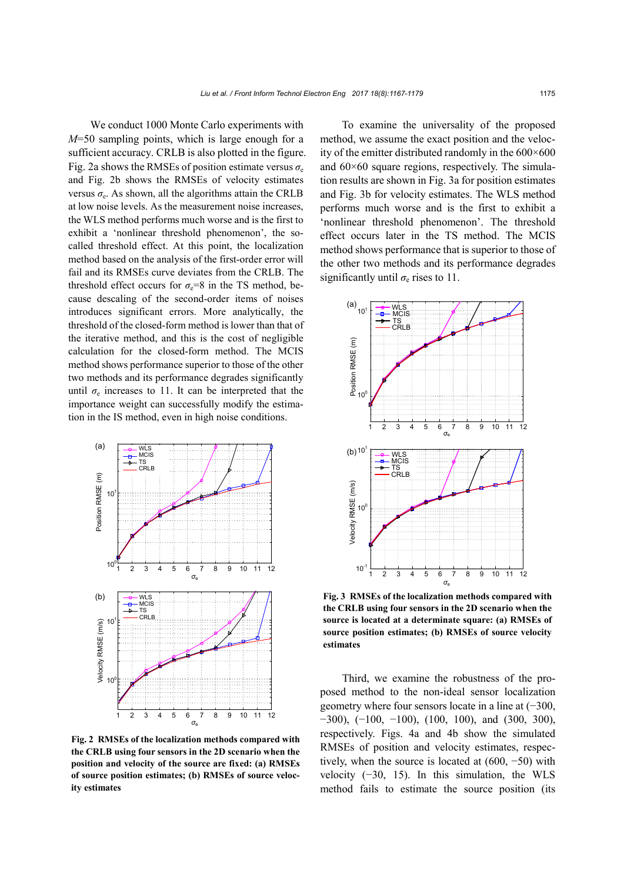We conduct 1000 Monte Carlo experiments with *M*=50 sampling points, which is large enough for a sufficient accuracy. CRLB is also plotted in the figure. Fig. 2a shows the RMSEs of position estimate versus  $\sigma_e$ and Fig. 2b shows the RMSEs of velocity estimates versus  $\sigma_e$ . As shown, all the algorithms attain the CRLB at low noise levels. As the measurement noise increases, the WLS method performs much worse and is the first to exhibit a 'nonlinear threshold phenomenon', the socalled threshold effect. At this point, the localization method based on the analysis of the first-order error will fail and its RMSEs curve deviates from the CRLB. The threshold effect occurs for  $\sigma_e=8$  in the TS method, because descaling of the second-order items of noises introduces significant errors. More analytically, the threshold of the closed-form method is lower than that of the iterative method, and this is the cost of negligible calculation for the closed-form method. The MCIS method shows performance superior to those of the other two methods and its performance degrades significantly until  $\sigma_e$  increases to 11. It can be interpreted that the importance weight can successfully modify the estimation in the IS method, even in high noise conditions.



**Fig. 2 RMSEs of the localization methods compared with the CRLB using four sensors in the 2D scenario when the position and velocity of the source are fixed: (a) RMSEs of source position estimates; (b) RMSEs of source velocity estimates**

To examine the universality of the proposed method, we assume the exact position and the velocity of the emitter distributed randomly in the 600×600 and  $60\times60$  square regions, respectively. The simulation results are shown in Fig. 3a for position estimates and Fig. 3b for velocity estimates. The WLS method performs much worse and is the first to exhibit a 'nonlinear threshold phenomenon'. The threshold effect occurs later in the TS method. The MCIS method shows performance that is superior to those of the other two methods and its performance degrades significantly until  $\sigma_e$  rises to 11.



**Fig. 3 RMSEs of the localization methods compared with the CRLB using four sensors in the 2D scenario when the source is located at a determinate square: (a) RMSEs of source position estimates; (b) RMSEs of source velocity estimates**

Third, we examine the robustness of the proposed method to the non-ideal sensor localization geometry where four sensors locate in a line at (−300,  $-300$ ),  $(-100, -100)$ ,  $(100, 100)$ , and  $(300, 300)$ , respectively. Figs. 4a and 4b show the simulated RMSEs of position and velocity estimates, respectively, when the source is located at (600, −50) with velocity (−30, 15). In this simulation, the WLS method fails to estimate the source position (its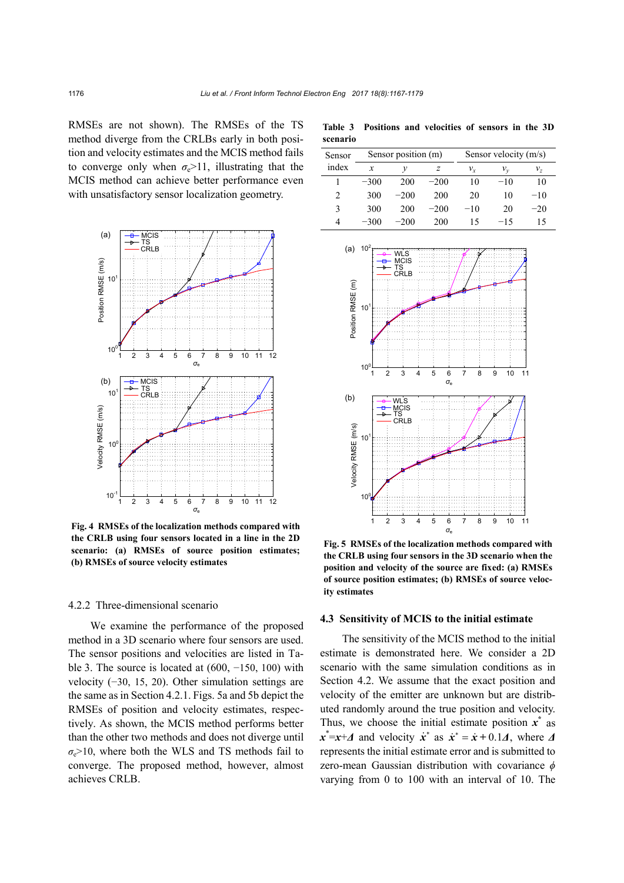RMSEs are not shown). The RMSEs of the TS method diverge from the CRLBs early in both position and velocity estimates and the MCIS method fails to converge only when  $\sigma_e > 11$ , illustrating that the MCIS method can achieve better performance even with unsatisfactory sensor localization geometry.



**Fig. 4 RMSEs of the localization methods compared with the CRLB using four sensors located in a line in the 2D scenario: (a) RMSEs of source position estimates; (b) RMSEs of source velocity estimates**

# 4.2.2 Three-dimensional scenario

We examine the performance of the proposed method in a 3D scenario where four sensors are used. The sensor positions and velocities are listed in Table 3. The source is located at  $(600, -150, 100)$  with velocity (−30, 15, 20). Other simulation settings are the same as in Section 4.2.1. Figs. 5a and 5b depict the RMSEs of position and velocity estimates, respectively. As shown, the MCIS method performs better than the other two methods and does not diverge until  $\sigma_e$ >10, where both the WLS and TS methods fail to converge. The proposed method, however, almost achieves CRLB.

**Table 3 Positions and velocities of sensors in the 3D scenario**

| Sensor | Sensor position (m) |        | Sensor velocity (m/s) |         |       |       |
|--------|---------------------|--------|-----------------------|---------|-------|-------|
| index  | x                   | ν      |                       | $v_{r}$ | ν.,   | ν,    |
|        | $-300$              | 200    | $-200$                | 10      | $-10$ | 10    |
| 2      | 300                 | $-200$ | 200                   | 20      | 10    | $-10$ |
| 3      | 300                 | 200    | $-200$                | $-10$   | 20    | $-20$ |
| 4      | $-300$              | $-200$ | 200                   | 15      | $-15$ | 15    |



**Fig. 5 RMSEs of the localization methods compared with the CRLB using four sensors in the 3D scenario when the position and velocity of the source are fixed: (a) RMSEs of source position estimates; (b) RMSEs of source velocity estimates**

#### **4.3 Sensitivity of MCIS to the initial estimate**

The sensitivity of the MCIS method to the initial estimate is demonstrated here. We consider a 2D scenario with the same simulation conditions as in Section 4.2. We assume that the exact position and velocity of the emitter are unknown but are distributed randomly around the true position and velocity. Thus, we choose the initial estimate position  $\vec{x}$  as  $x^* = x + \Delta$  and velocity  $\dot{x}^*$  as  $\dot{x}^* = \dot{x} + 0.1\Delta$ , where  $\Delta$ represents the initial estimate error and is submitted to zero-mean Gaussian distribution with covariance *ϕ* varying from 0 to 100 with an interval of 10. The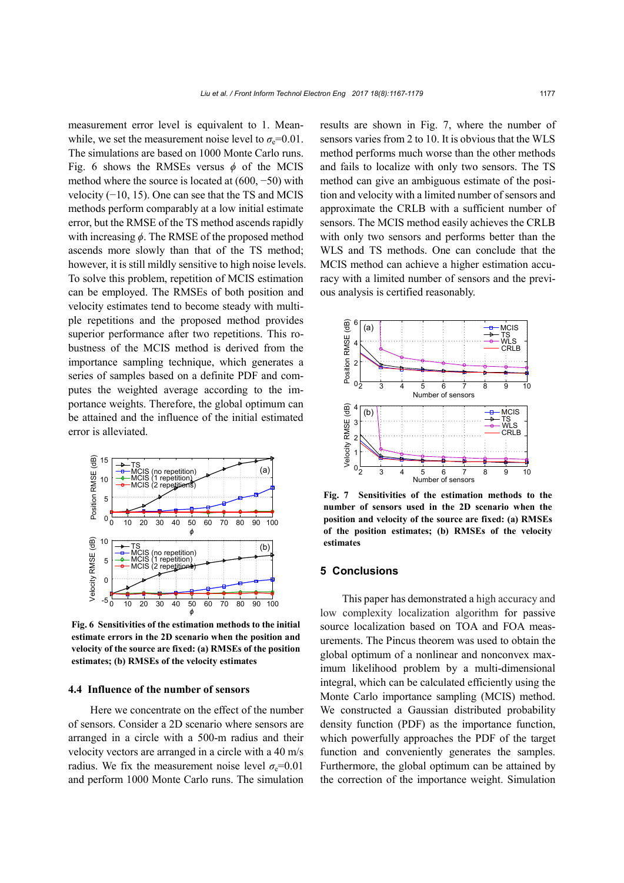measurement error level is equivalent to 1. Meanwhile, we set the measurement noise level to  $\sigma_e$ =0.01. The simulations are based on 1000 Monte Carlo runs. Fig. 6 shows the RMSEs versus  $\phi$  of the MCIS method where the source is located at (600, −50) with velocity (−10, 15). One can see that the TS and MCIS methods perform comparably at a low initial estimate error, but the RMSE of the TS method ascends rapidly with increasing *ϕ*. The RMSE of the proposed method ascends more slowly than that of the TS method; however, it is still mildly sensitive to high noise levels. To solve this problem, repetition of MCIS estimation can be employed. The RMSEs of both position and velocity estimates tend to become steady with multiple repetitions and the proposed method provides superior performance after two repetitions. This robustness of the MCIS method is derived from the importance sampling technique, which generates a series of samples based on a definite PDF and computes the weighted average according to the importance weights. Therefore, the global optimum can be attained and the influence of the initial estimated error is alleviated.



**Fig. 6 Sensitivities of the estimation methods to the initial estimate errors in the 2D scenario when the position and velocity of the source are fixed: (a) RMSEs of the position estimates; (b) RMSEs of the velocity estimates**

# **4.4 Influence of the number of sensors**

Here we concentrate on the effect of the number of sensors. Consider a 2D scenario where sensors are arranged in a circle with a 500-m radius and their velocity vectors are arranged in a circle with a 40 m/s radius. We fix the measurement noise level  $\sigma_e$ =0.01 and perform 1000 Monte Carlo runs. The simulation results are shown in Fig. 7, where the number of sensors varies from 2 to 10. It is obvious that the WLS method performs much worse than the other methods and fails to localize with only two sensors. The TS method can give an ambiguous estimate of the position and velocity with a limited number of sensors and approximate the CRLB with a sufficient number of sensors. The MCIS method easily achieves the CRLB with only two sensors and performs better than the WLS and TS methods. One can conclude that the MCIS method can achieve a higher estimation accuracy with a limited number of sensors and the previous analysis is certified reasonably.



**Fig. 7 Sensitivities of the estimation methods to the number of sensors used in the 2D scenario when the position and velocity of the source are fixed: (a) RMSEs of the position estimates; (b) RMSEs of the velocity estimates**

#### **5 Conclusions**

This paper has demonstrated a high accuracy and low complexity localization algorithm for passive source localization based on TOA and FOA measurements. The Pincus theorem was used to obtain the global optimum of a nonlinear and nonconvex maximum likelihood problem by a multi-dimensional integral, which can be calculated efficiently using the Monte Carlo importance sampling (MCIS) method. We constructed a Gaussian distributed probability density function (PDF) as the importance function, which powerfully approaches the PDF of the target function and conveniently generates the samples. Furthermore, the global optimum can be attained by the correction of the importance weight. Simulation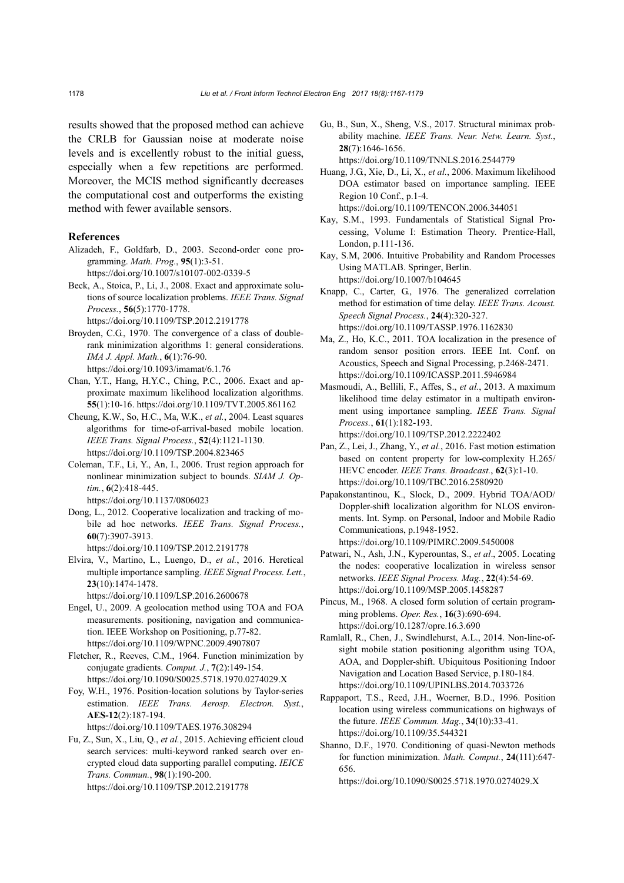results showed that the proposed method can achieve the CRLB for Gaussian noise at moderate noise levels and is excellently robust to the initial guess, especially when a few repetitions are performed. Moreover, the MCIS method significantly decreases the computational cost and outperforms the existing method with fewer available sensors.

#### **References**

- Alizadeh, F., Goldfarb, D., 2003. Second-order cone programming. *Math. Prog.*, **95**(1):3-51. https://doi.org/10.1007/s10107-002-0339-5
- Beck, A., Stoica, P., Li, J., 2008. Exact and approximate solutions of source localization problems. *IEEE Trans. Signal Process.*, **56**(5):1770-1778. https://doi.org/10.1109/TSP.2012.2191778
- Broyden, C.G., 1970. The convergence of a class of doublerank minimization algorithms 1: general considerations. *IMA J. Appl. Math.*, **6**(1):76-90. https://doi.org/10.1093/imamat/6.1.76
- Chan, Y.T., Hang, H.Y.C., Ching, P.C., 2006. Exact and approximate maximum likelihood localization algorithms. **55**(1):10-16. https://doi.org/10.1109/TVT.2005.861162
- Cheung, K.W., So, H.C., Ma, W.K., *et al.*, 2004. Least squares algorithms for time-of-arrival-based mobile location. *IEEE Trans. Signal Process.*, **52**(4):1121-1130. https://doi.org/10.1109/TSP.2004.823465
- Coleman, T.F., Li, Y., An, I., 2006. Trust region approach for nonlinear minimization subject to bounds. *SIAM J. Optim.*, **6**(2):418-445.
	- https://doi.org/10.1137/0806023
- Dong, L., 2012. Cooperative localization and tracking of mobile ad hoc networks. *IEEE Trans. Signal Process.*, **60**(7):3907-3913. https://doi.org/10.1109/TSP.2012.2191778
- Elvira, V., Martino, L., Luengo, D., *et al.*, 2016. Heretical multiple importance sampling. *IEEE Signal Process. Lett.*, **23**(10):1474-1478.

https://doi.org/10.1109/LSP.2016.2600678

- Engel, U., 2009. A geolocation method using TOA and FOA measurements. positioning, navigation and communication. IEEE Workshop on Positioning, p.77-82. https://doi.org/10.1109/WPNC.2009.4907807
- Fletcher, R., Reeves, C.M., 1964. Function minimization by conjugate gradients. *Comput. J.*, **7**(2):149-154. https://doi.org/10.1090/S0025.5718.1970.0274029.X
- Foy, W.H., 1976. Position-location solutions by Taylor-series estimation. *IEEE Trans. Aerosp. Electron. Syst.*, **AES-12**(2):187-194. https://doi.org/10.1109/TAES.1976.308294
- Fu, Z., Sun, X., Liu, Q., *et al.*, 2015. Achieving efficient cloud search services: multi-keyword ranked search over encrypted cloud data supporting parallel computing. *IEICE Trans. Commun.*, **98**(1):190-200. https://doi.org/10.1109/TSP.2012.2191778
- Gu, B., Sun, X., Sheng, V.S., 2017. Structural minimax probability machine. *IEEE Trans. Neur. Netw. Learn. Syst.*, **28**(7):1646-1656. https://doi.org/10.1109/TNNLS.2016.2544779
- Huang, J.G., Xie, D., Li, X., *et al.*, 2006. Maximum likelihood DOA estimator based on importance sampling. IEEE Region 10 Conf., p.1-4. https://doi.org/10.1109/TENCON.2006.344051
- Kay, S.M., 1993. Fundamentals of Statistical Signal Processing, Volume I: Estimation Theory*.* Prentice-Hall,
- London, p.111-136. Kay, S.M, 2006. Intuitive Probability and Random Processes Using MATLAB. Springer, Berlin. https://doi.org/10.1007/b104645
- Knapp, C., Carter, G., 1976. The generalized correlation method for estimation of time delay. *IEEE Trans. Acoust. Speech Signal Process.*, **24**(4):320-327. https://doi.org/10.1109/TASSP.1976.1162830
- Ma, Z., Ho, K.C., 2011. TOA localization in the presence of random sensor position errors. IEEE Int. Conf. on Acoustics, Speech and Signal Processing, p.2468-2471. https://doi.org/10.1109/ICASSP.2011.5946984
- Masmoudi, A., Bellili, F., Affes, S., *et al.*, 2013. A maximum likelihood time delay estimator in a multipath environment using importance sampling. *IEEE Trans. Signal Process.*, **61**(1):182-193. https://doi.org/10.1109/TSP.2012.2222402
- Pan, Z., Lei, J., Zhang, Y., *et al.*, 2016. Fast motion estimation based on content property for low-complexity H.265/ HEVC encoder. *IEEE Trans. Broadcast.*, **62**(3):1-10. https://doi.org/10.1109/TBC.2016.2580920
- Papakonstantinou, K., Slock, D., 2009. Hybrid TOA/AOD/ Doppler-shift localization algorithm for NLOS environments. Int. Symp. on Personal, Indoor and Mobile Radio Communications, p.1948-1952. https://doi.org/10.1109/PIMRC.2009.5450008
- Patwari, N., Ash, J.N., Kyperountas, S., *et al*., 2005. Locating the nodes: cooperative localization in wireless sensor networks. *IEEE Signal Process. Mag.*, **22**(4):54-69. https://doi.org/10.1109/MSP.2005.1458287
- Pincus, M., 1968. A closed form solution of certain programming problems. *Oper. Res.*, **16**(3):690-694. https://doi.org/10.1287/opre.16.3.690
- Ramlall, R., Chen, J., Swindlehurst, A.L., 2014. Non-line-ofsight mobile station positioning algorithm using TOA, AOA, and Doppler-shift. Ubiquitous Positioning Indoor Navigation and Location Based Service, p.180-184. https://doi.org/10.1109/UPINLBS.2014.7033726
- Rappaport, T.S., Reed, J.H., Woerner, B.D., 1996. Position location using wireless communications on highways of the future. *IEEE Commun. Mag.*, **34**(10):33-41. https://doi.org/10.1109/35.544321
- Shanno, D.F., 1970. Conditioning of quasi-Newton methods for function minimization. *Math. Comput.*, **24**(111):647- 656.

https://doi.org/10.1090/S0025.5718.1970.0274029.X